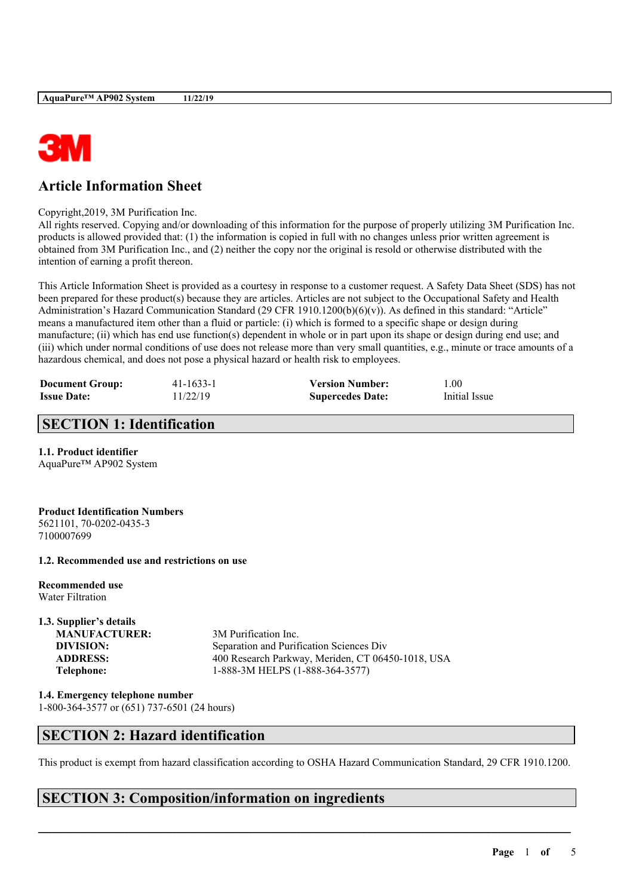

# **Article Information Sheet**

#### Copyright,2019, 3M Purification Inc.

All rights reserved. Copying and/or downloading of this information for the purpose of properly utilizing 3M Purification Inc. products is allowed provided that: (1) the information is copied in full with no changes unless prior written agreement is obtained from 3M Purification Inc., and (2) neither the copy nor the original is resold or otherwise distributed with the intention of earning a profit thereon.

This Article Information Sheet is provided as a courtesy in response to a customer request. A Safety Data Sheet (SDS) has not been prepared for these product(s) because they are articles. Articles are not subject to the Occupational Safety and Health Administration's Hazard Communication Standard (29 CFR 1910.1200(b)(6)(v)). As defined in this standard: "Article" means a manufactured item other than a fluid or particle: (i) which is formed to a specific shape or design during manufacture; (ii) which has end use function(s) dependent in whole or in part upon its shape or design during end use; and (iii) which under normal conditions of use does not release more than very small quantities, e.g., minute or trace amounts of a hazardous chemical, and does not pose a physical hazard or health risk to employees.

| <b>Document Group:</b> | $41 - 1633 - 1$ | <b>Version Number:</b>  | 1.00          |
|------------------------|-----------------|-------------------------|---------------|
| <b>Issue Date:</b>     | 11/22/19        | <b>Supercedes Date:</b> | Initial Issue |

## **SECTION 1: Identification**

## **1.1. Product identifier**

AquaPure™ AP902 System

#### **Product Identification Numbers** 5621101, 70-0202-0435-3 7100007699

## **1.2. Recommended use and restrictions on use**

**Recommended use** Water Filtration

# **1.3. Supplier's details**

**MANUFACTURER:** 3M Purification Inc.

**DIVISION:** Separation and Purification Sciences Div **ADDRESS:** 400 Research Parkway, Meriden, CT 06450-1018, USA **Telephone:** 1-888-3M HELPS (1-888-364-3577)

**1.4. Emergency telephone number** 1-800-364-3577 or (651) 737-6501 (24 hours)

# **SECTION 2: Hazard identification**

This product is exempt from hazard classification according to OSHA Hazard Communication Standard, 29 CFR 1910.1200.

 $\mathcal{L}_\mathcal{L} = \mathcal{L}_\mathcal{L} = \mathcal{L}_\mathcal{L} = \mathcal{L}_\mathcal{L} = \mathcal{L}_\mathcal{L} = \mathcal{L}_\mathcal{L} = \mathcal{L}_\mathcal{L} = \mathcal{L}_\mathcal{L} = \mathcal{L}_\mathcal{L} = \mathcal{L}_\mathcal{L} = \mathcal{L}_\mathcal{L} = \mathcal{L}_\mathcal{L} = \mathcal{L}_\mathcal{L} = \mathcal{L}_\mathcal{L} = \mathcal{L}_\mathcal{L} = \mathcal{L}_\mathcal{L} = \mathcal{L}_\mathcal{L}$ 

# **SECTION 3: Composition/information on ingredients**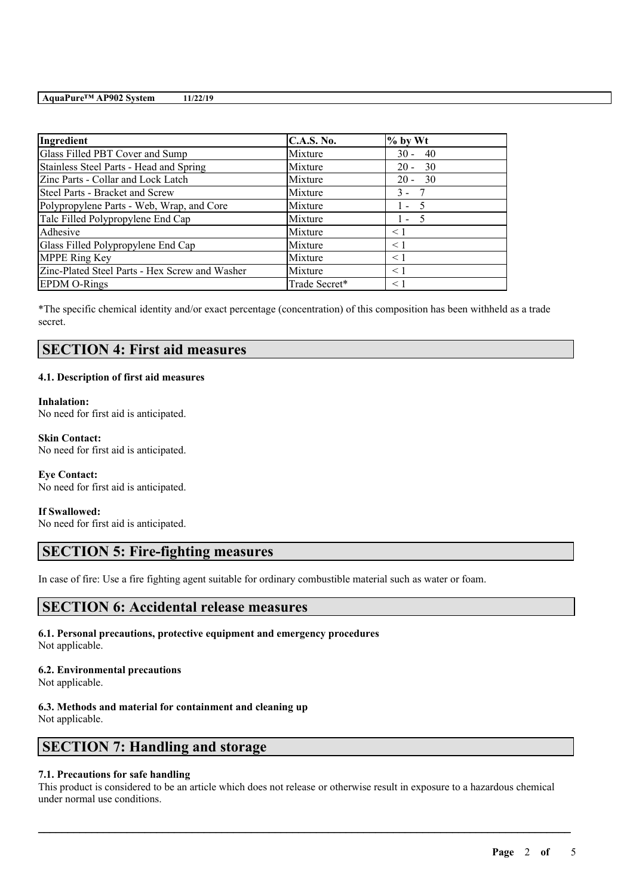## **AquaPure™ AP902 System 11/22/19**

| Ingredient                                     | <b>C.A.S. No.</b> | $%$ by Wt      |
|------------------------------------------------|-------------------|----------------|
| Glass Filled PBT Cover and Sump                | Mixture           | $30 - 40$      |
| Stainless Steel Parts - Head and Spring        | Mixture           | - 30<br>$20 -$ |
| Zinc Parts - Collar and Lock Latch             | Mixture           | $20 - 30$      |
| Steel Parts - Bracket and Screw                | Mixture           | $3 -$          |
| Polypropylene Parts - Web, Wrap, and Core      | Mixture           | $1 -$<br>- 5   |
| Talc Filled Polypropylene End Cap              | Mixture           | $1 - 5$        |
| Adhesive                                       | Mixture           | $\leq$ 1       |
| Glass Filled Polypropylene End Cap             | Mixture           | $\leq 1$       |
| <b>MPPE Ring Key</b>                           | Mixture           | $\leq$ 1       |
| Zinc-Plated Steel Parts - Hex Screw and Washer | Mixture           | $\leq 1$       |
| <b>EPDM O-Rings</b>                            | Trade Secret*     | < 1            |

\*The specific chemical identity and/or exact percentage (concentration) of this composition has been withheld as a trade secret.

# **SECTION 4: First aid measures**

## **4.1. Description of first aid measures**

## **Inhalation:**

No need for first aid is anticipated.

#### **Skin Contact:** No need for first aid is anticipated.

## **Eye Contact:** No need for first aid is anticipated.

## **If Swallowed:**

No need for first aid is anticipated.

# **SECTION 5: Fire-fighting measures**

In case of fire: Use a fire fighting agent suitable for ordinary combustible material such as water or foam.

## **SECTION 6: Accidental release measures**

**6.1. Personal precautions, protective equipment and emergency procedures** Not applicable.

## **6.2. Environmental precautions**

Not applicable.

# **6.3. Methods and material for containment and cleaning up**

Not applicable.

# **SECTION 7: Handling and storage**

## **7.1. Precautions for safe handling**

This product is considered to be an article which does not release or otherwise result in exposure to a hazardous chemical under normal use conditions.

 $\mathcal{L}_\mathcal{L} = \mathcal{L}_\mathcal{L} = \mathcal{L}_\mathcal{L} = \mathcal{L}_\mathcal{L} = \mathcal{L}_\mathcal{L} = \mathcal{L}_\mathcal{L} = \mathcal{L}_\mathcal{L} = \mathcal{L}_\mathcal{L} = \mathcal{L}_\mathcal{L} = \mathcal{L}_\mathcal{L} = \mathcal{L}_\mathcal{L} = \mathcal{L}_\mathcal{L} = \mathcal{L}_\mathcal{L} = \mathcal{L}_\mathcal{L} = \mathcal{L}_\mathcal{L} = \mathcal{L}_\mathcal{L} = \mathcal{L}_\mathcal{L}$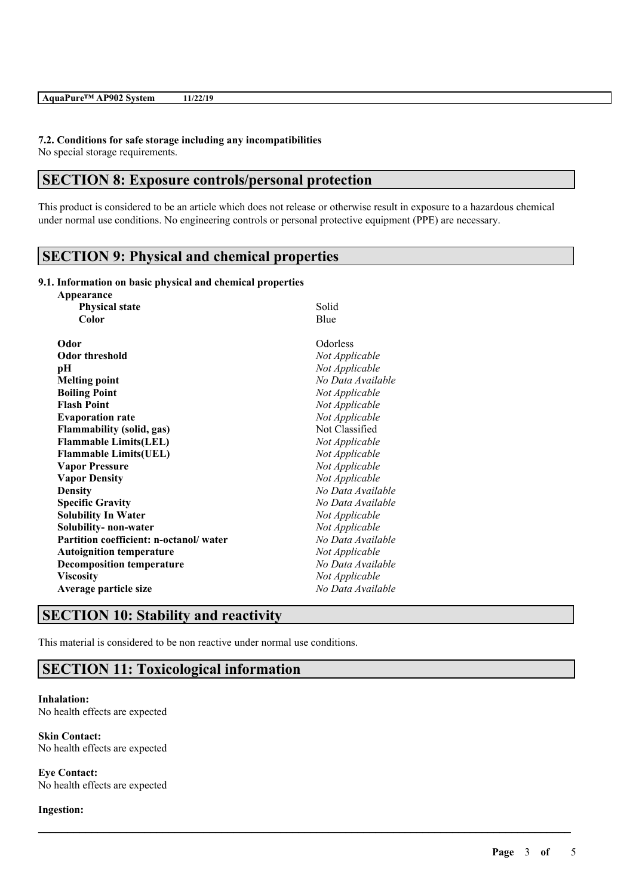#### **7.2. Conditions for safe storage including any incompatibilities**

No special storage requirements.

# **SECTION 8: Exposure controls/personal protection**

This product is considered to be an article which does not release or otherwise result in exposure to a hazardous chemical under normal use conditions. No engineering controls or personal protective equipment (PPE) are necessary.

 $\mathcal{L}_\mathcal{L} = \mathcal{L}_\mathcal{L} = \mathcal{L}_\mathcal{L} = \mathcal{L}_\mathcal{L} = \mathcal{L}_\mathcal{L} = \mathcal{L}_\mathcal{L} = \mathcal{L}_\mathcal{L} = \mathcal{L}_\mathcal{L} = \mathcal{L}_\mathcal{L} = \mathcal{L}_\mathcal{L} = \mathcal{L}_\mathcal{L} = \mathcal{L}_\mathcal{L} = \mathcal{L}_\mathcal{L} = \mathcal{L}_\mathcal{L} = \mathcal{L}_\mathcal{L} = \mathcal{L}_\mathcal{L} = \mathcal{L}_\mathcal{L}$ 

# **SECTION 9: Physical and chemical properties**

#### **9.1. Information on basic physical and chemical properties**

| Solid             |
|-------------------|
| Blue              |
| Odorless          |
| Not Applicable    |
| Not Applicable    |
| No Data Available |
| Not Applicable    |
| Not Applicable    |
| Not Applicable    |
| Not Classified    |
| Not Applicable    |
| Not Applicable    |
| Not Applicable    |
| Not Applicable    |
| No Data Available |
| No Data Available |
| Not Applicable    |
| Not Applicable    |
| No Data Available |
| Not Applicable    |
| No Data Available |
| Not Applicable    |
| No Data Available |
|                   |

## **SECTION 10: Stability and reactivity**

This material is considered to be non reactive under normal use conditions.

# **SECTION 11: Toxicological information**

**Inhalation:** No health effects are expected

**Skin Contact:** No health effects are expected

**Eye Contact:** No health effects are expected

## **Ingestion:**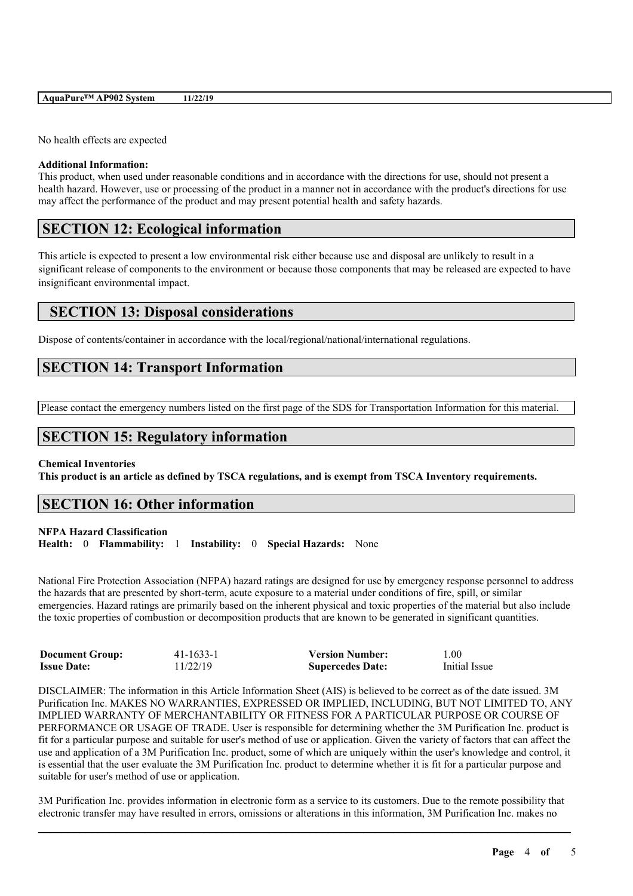| AquaPure <sup>™</sup> AP902 System | 11/22/19 |
|------------------------------------|----------|
|------------------------------------|----------|

No health effects are expected

#### **Additional Information:**

This product, when used under reasonable conditions and in accordance with the directions for use, should not present a health hazard. However, use or processing of the product in a manner not in accordance with the product's directions for use may affect the performance of the product and may present potential health and safety hazards.

# **SECTION 12: Ecological information**

This article is expected to present a low environmental risk either because use and disposal are unlikely to result in a significant release of components to the environment or because those components that may be released are expected to have insignificant environmental impact.

# **SECTION 13: Disposal considerations**

Dispose of contents/container in accordance with the local/regional/national/international regulations.

# **SECTION 14: Transport Information**

Please contact the emergency numbers listed on the first page of the SDS for Transportation Information for this material.

# **SECTION 15: Regulatory information**

## **Chemical Inventories**

This product is an article as defined by TSCA regulations, and is exempt from TSCA Inventory requirements.

# **SECTION 16: Other information**

## **NFPA Hazard Classification**

**Health:** 0 **Flammability:** 1 **Instability:** 0 **Special Hazards:** None

National Fire Protection Association (NFPA) hazard ratings are designed for use by emergency response personnel to address the hazards that are presented by short-term, acute exposure to a material under conditions of fire, spill, or similar emergencies. Hazard ratings are primarily based on the inherent physical and toxic properties of the material but also include the toxic properties of combustion or decomposition products that are known to be generated in significant quantities.

| <b>Document Group:</b> | $41 - 1633 - 1$ | <b>Version Number:</b>  | 1.00          |
|------------------------|-----------------|-------------------------|---------------|
| <b>Issue Date:</b>     | 11/22/19        | <b>Supercedes Date:</b> | Initial Issue |

DISCLAIMER: The information in this Article Information Sheet (AIS) is believed to be correct as of the date issued. 3M Purification Inc. MAKES NO WARRANTIES, EXPRESSED OR IMPLIED, INCLUDING, BUT NOT LIMITED TO, ANY IMPLIED WARRANTY OF MERCHANTABILITY OR FITNESS FOR A PARTICULAR PURPOSE OR COURSE OF PERFORMANCE OR USAGE OF TRADE. User is responsible for determining whether the 3M Purification Inc. product is fit for a particular purpose and suitable for user's method of use or application. Given the variety of factors that can affect the use and application of a 3M Purification Inc. product, some of which are uniquely within the user's knowledge and control, it is essential that the user evaluate the 3M Purification Inc. product to determine whether it is fit for a particular purpose and suitable for user's method of use or application.

 $\mathcal{L}_\mathcal{L} = \mathcal{L}_\mathcal{L} = \mathcal{L}_\mathcal{L} = \mathcal{L}_\mathcal{L} = \mathcal{L}_\mathcal{L} = \mathcal{L}_\mathcal{L} = \mathcal{L}_\mathcal{L} = \mathcal{L}_\mathcal{L} = \mathcal{L}_\mathcal{L} = \mathcal{L}_\mathcal{L} = \mathcal{L}_\mathcal{L} = \mathcal{L}_\mathcal{L} = \mathcal{L}_\mathcal{L} = \mathcal{L}_\mathcal{L} = \mathcal{L}_\mathcal{L} = \mathcal{L}_\mathcal{L} = \mathcal{L}_\mathcal{L}$ 3M Purification Inc. provides information in electronic form as a service to its customers. Due to the remote possibility that electronic transfer may have resulted in errors, omissions or alterations in this information, 3M Purification Inc. makes no